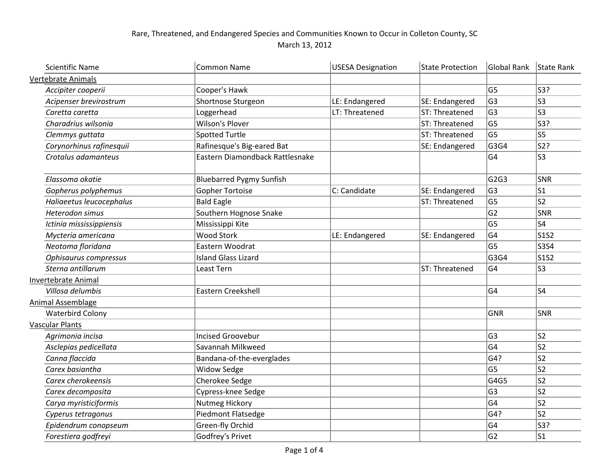## Rare, Threatened, and Endangered Species and Communities Known to Occur in Colleton County, SC March 13, 2012

| <b>Scientific Name</b>     | <b>Common Name</b>              | <b>USESA Designation</b> | <b>State Protection</b> | Global Rank    | State Rank                    |
|----------------------------|---------------------------------|--------------------------|-------------------------|----------------|-------------------------------|
| <b>Vertebrate Animals</b>  |                                 |                          |                         |                |                               |
| Accipiter cooperii         | Cooper's Hawk                   |                          |                         | G <sub>5</sub> | S3?                           |
| Acipenser brevirostrum     | Shortnose Sturgeon              | LE: Endangered           | SE: Endangered          | G <sub>3</sub> | S3                            |
| Caretta caretta            | Loggerhead                      | LT: Threatened           | ST: Threatened          | G <sub>3</sub> | S3                            |
| Charadrius wilsonia        | <b>Wilson's Plover</b>          |                          | ST: Threatened          | G <sub>5</sub> | S3?                           |
| Clemmys guttata            | <b>Spotted Turtle</b>           |                          | ST: Threatened          | G <sub>5</sub> | ls5                           |
| Corynorhinus rafinesquii   | Rafinesque's Big-eared Bat      |                          | SE: Endangered          | G3G4           | S2?                           |
| Crotalus adamanteus        | Eastern Diamondback Rattlesnake |                          |                         | G <sub>4</sub> | S3                            |
| Elassoma okatie            | <b>Bluebarred Pygmy Sunfish</b> |                          |                         | G2G3           | <b>SNR</b>                    |
| Gopherus polyphemus        | <b>Gopher Tortoise</b>          | C: Candidate             | SE: Endangered          | G <sub>3</sub> | ls1                           |
| Haliaeetus leucocephalus   | <b>Bald Eagle</b>               |                          | ST: Threatened          | G <sub>5</sub> | S2                            |
| Heterodon simus            | Southern Hognose Snake          |                          |                         | G <sub>2</sub> | SNR                           |
| Ictinia mississippiensis   | Mississippi Kite                |                          |                         | G <sub>5</sub> | S4                            |
| Mycteria americana         | <b>Wood Stork</b>               | LE: Endangered           | SE: Endangered          | G <sub>4</sub> | S1S2                          |
| Neotoma floridana          | Eastern Woodrat                 |                          |                         | G <sub>5</sub> | $ $ S3S4                      |
| Ophisaurus compressus      | <b>Island Glass Lizard</b>      |                          |                         | G3G4           | S <sub>1</sub> S <sub>2</sub> |
| Sterna antillarum          | Least Tern                      |                          | ST: Threatened          | G <sub>4</sub> | S3                            |
| <b>Invertebrate Animal</b> |                                 |                          |                         |                |                               |
| Villosa delumbis           | Eastern Creekshell              |                          |                         | G <sub>4</sub> | S4                            |
| <b>Animal Assemblage</b>   |                                 |                          |                         |                |                               |
| <b>Waterbird Colony</b>    |                                 |                          |                         | <b>GNR</b>     | SNR                           |
| <b>Vascular Plants</b>     |                                 |                          |                         |                |                               |
| Agrimonia incisa           | <b>Incised Groovebur</b>        |                          |                         | G <sub>3</sub> | ls2                           |
| Asclepias pedicellata      | Savannah Milkweed               |                          |                         | G <sub>4</sub> | S2                            |
| Canna flaccida             | Bandana-of-the-everglades       |                          |                         | G4?            | ls2                           |
| Carex basiantha            | <b>Widow Sedge</b>              |                          |                         | G <sub>5</sub> | S2                            |
| Carex cherokeensis         | Cherokee Sedge                  |                          |                         | G4G5           | S2                            |
| Carex decomposita          | Cypress-knee Sedge              |                          |                         | G <sub>3</sub> | ls2                           |
| Carya myristiciformis      | Nutmeg Hickory                  |                          |                         | G <sub>4</sub> | S2                            |
| Cyperus tetragonus         | <b>Piedmont Flatsedge</b>       |                          |                         | G4?            | ls2                           |
| Epidendrum conopseum       | Green-fly Orchid                |                          |                         | G <sub>4</sub> | S3?                           |
| Forestiera godfreyi        | Godfrey's Privet                |                          |                         | G <sub>2</sub> | S1                            |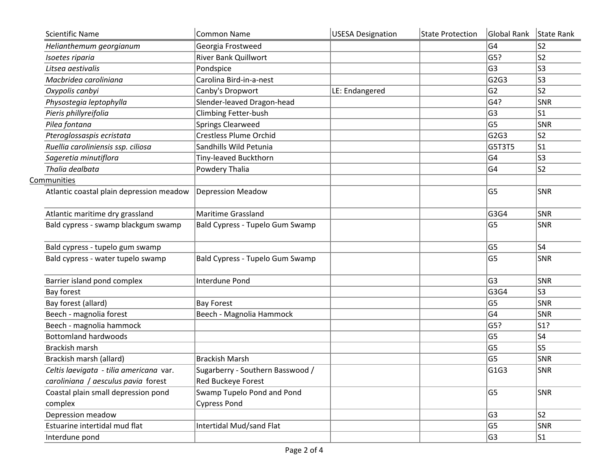| <b>Scientific Name</b>                   | <b>Common Name</b>               | <b>USESA Designation</b> | State Protection | Global Rank    | State Rank     |
|------------------------------------------|----------------------------------|--------------------------|------------------|----------------|----------------|
| Helianthemum georgianum                  | Georgia Frostweed                |                          |                  | G4             | S <sub>2</sub> |
| Isoetes riparia                          | <b>River Bank Quillwort</b>      |                          |                  | G5?            | S <sub>2</sub> |
| Litsea aestivalis                        | Pondspice                        |                          |                  | G <sub>3</sub> | S3             |
| Macbridea caroliniana                    | Carolina Bird-in-a-nest          |                          |                  | G2G3           | S3             |
| Oxypolis canbyi                          | Canby's Dropwort                 | LE: Endangered           |                  | G <sub>2</sub> | S <sub>2</sub> |
| Physostegia leptophylla                  | Slender-leaved Dragon-head       |                          |                  | G4?            | SNR            |
| Pieris phillyreifolia                    | <b>Climbing Fetter-bush</b>      |                          |                  | G <sub>3</sub> | S1             |
| Pilea fontana                            | <b>Springs Clearweed</b>         |                          |                  | G <sub>5</sub> | SNR            |
| Pteroglossaspis ecristata                | <b>Crestless Plume Orchid</b>    |                          |                  | G2G3           | S <sub>2</sub> |
| Ruellia caroliniensis ssp. ciliosa       | Sandhills Wild Petunia           |                          |                  | G5T3T5         | S1             |
| Sageretia minutiflora                    | Tiny-leaved Buckthorn            |                          |                  | G4             | S3             |
| Thalia dealbata                          | Powdery Thalia                   |                          |                  | G4             | S <sub>2</sub> |
| Communities                              |                                  |                          |                  |                |                |
| Atlantic coastal plain depression meadow | <b>Depression Meadow</b>         |                          |                  | G <sub>5</sub> | SNR            |
| Atlantic maritime dry grassland          | <b>Maritime Grassland</b>        |                          |                  | G3G4           | SNR            |
| Bald cypress - swamp blackgum swamp      | Bald Cypress - Tupelo Gum Swamp  |                          |                  | G <sub>5</sub> | SNR            |
| Bald cypress - tupelo gum swamp          |                                  |                          |                  | G <sub>5</sub> | S4             |
| Bald cypress - water tupelo swamp        | Bald Cypress - Tupelo Gum Swamp  |                          |                  | G5             | SNR            |
| Barrier island pond complex              | Interdune Pond                   |                          |                  | G <sub>3</sub> | SNR            |
| Bay forest                               |                                  |                          |                  | G3G4           | S3             |
| Bay forest (allard)                      | <b>Bay Forest</b>                |                          |                  | G <sub>5</sub> | SNR            |
| Beech - magnolia forest                  | Beech - Magnolia Hammock         |                          |                  | G4             | SNR            |
| Beech - magnolia hammock                 |                                  |                          |                  | G5?            | S1?            |
| <b>Bottomland hardwoods</b>              |                                  |                          |                  | G <sub>5</sub> | S4             |
| <b>Brackish marsh</b>                    |                                  |                          |                  | G <sub>5</sub> | S5             |
| Brackish marsh (allard)                  | <b>Brackish Marsh</b>            |                          |                  | G5             | SNR            |
| Celtis laevigata - tilia americana var.  | Sugarberry - Southern Basswood / |                          |                  | G1G3           | SNR            |
| caroliniana / aesculus pavia forest      | Red Buckeye Forest               |                          |                  |                |                |
| Coastal plain small depression pond      | Swamp Tupelo Pond and Pond       |                          |                  | G5             | SNR            |
| complex                                  | <b>Cypress Pond</b>              |                          |                  |                |                |
| Depression meadow                        |                                  |                          |                  | G3             | S <sub>2</sub> |
| Estuarine intertidal mud flat            | Intertidal Mud/sand Flat         |                          |                  | G5             | SNR            |
| Interdune pond                           |                                  |                          |                  | G <sub>3</sub> | S1             |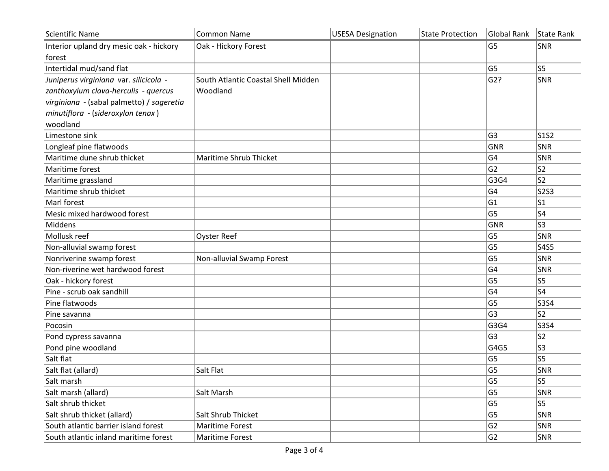| <b>Scientific Name</b>                    | <b>Common Name</b>                  | <b>USESA Designation</b> | <b>State Protection</b> | Global Rank State Rank |                |
|-------------------------------------------|-------------------------------------|--------------------------|-------------------------|------------------------|----------------|
| Interior upland dry mesic oak - hickory   | Oak - Hickory Forest                |                          |                         | G5                     | SNR            |
| forest                                    |                                     |                          |                         |                        |                |
| Intertidal mud/sand flat                  |                                     |                          |                         | G5                     | S <sub>5</sub> |
| Juniperus virginiana var. silicicola -    | South Atlantic Coastal Shell Midden |                          |                         | G2?                    | SNR            |
| zanthoxylum clava-herculis - quercus      | Woodland                            |                          |                         |                        |                |
| virginiana - (sabal palmetto) / sageretia |                                     |                          |                         |                        |                |
| minutiflora - (sideroxylon tenax)         |                                     |                          |                         |                        |                |
| woodland                                  |                                     |                          |                         |                        |                |
| Limestone sink                            |                                     |                          |                         | G3                     | <b>S1S2</b>    |
| Longleaf pine flatwoods                   |                                     |                          |                         | GNR                    | SNR            |
| Maritime dune shrub thicket               | Maritime Shrub Thicket              |                          |                         | G4                     | SNR            |
| Maritime forest                           |                                     |                          |                         | G <sub>2</sub>         | S <sub>2</sub> |
| Maritime grassland                        |                                     |                          |                         | G3G4                   | S <sub>2</sub> |
| Maritime shrub thicket                    |                                     |                          |                         | G4                     | <b>S2S3</b>    |
| Marl forest                               |                                     |                          |                         | G1                     | S1             |
| Mesic mixed hardwood forest               |                                     |                          |                         | G5                     | S <sub>4</sub> |
| Middens                                   |                                     |                          |                         | GNR                    | S <sub>3</sub> |
| Mollusk reef                              | <b>Oyster Reef</b>                  |                          |                         | G5                     | SNR            |
| Non-alluvial swamp forest                 |                                     |                          |                         | G <sub>5</sub>         | <b>S4S5</b>    |
| Nonriverine swamp forest                  | Non-alluvial Swamp Forest           |                          |                         | G5                     | SNR            |
| Non-riverine wet hardwood forest          |                                     |                          |                         | G4                     | SNR            |
| Oak - hickory forest                      |                                     |                          |                         | G5                     | S <sub>5</sub> |
| Pine - scrub oak sandhill                 |                                     |                          |                         | G4                     | S <sub>4</sub> |
| Pine flatwoods                            |                                     |                          |                         | G5                     | <b>S3S4</b>    |
| Pine savanna                              |                                     |                          |                         | G3                     | S <sub>2</sub> |
| Pocosin                                   |                                     |                          |                         | G3G4                   | <b>S3S4</b>    |
| Pond cypress savanna                      |                                     |                          |                         | G3                     | S <sub>2</sub> |
| Pond pine woodland                        |                                     |                          |                         | G4G5                   | S <sub>3</sub> |
| Salt flat                                 |                                     |                          |                         | G5                     | S <sub>5</sub> |
| Salt flat (allard)                        | Salt Flat                           |                          |                         | G5                     | SNR            |
| Salt marsh                                |                                     |                          |                         | G5                     | S5             |
| Salt marsh (allard)                       | Salt Marsh                          |                          |                         | G5                     | SNR            |
| Salt shrub thicket                        |                                     |                          |                         | G5                     | S <sub>5</sub> |
| Salt shrub thicket (allard)               | Salt Shrub Thicket                  |                          |                         | G5                     | SNR            |
| South atlantic barrier island forest      | Maritime Forest                     |                          |                         | G <sub>2</sub>         | SNR            |
| South atlantic inland maritime forest     | Maritime Forest                     |                          |                         | G <sub>2</sub>         | SNR            |